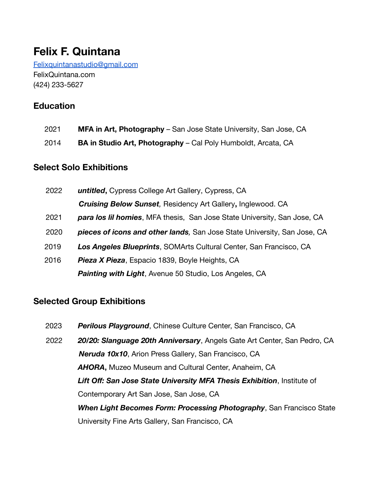# **Felix F. Quintana**

[Felixquintanastudio@gmail.com](mailto:Felixfquintana@gmail.com) FelixQuintana.com (424) 233-5627

# **Education**

- 2021 **MFA in Art, Photography** San Jose State University, San Jose, CA
- 2014 **BA in Studio Art, Photography** Cal Poly Humboldt, Arcata, CA

### **Select Solo Exhibitions**

| 2022 | untitled, Cypress College Art Gallery, Cypress, CA                               |
|------|----------------------------------------------------------------------------------|
|      | <b>Cruising Below Sunset, Residency Art Gallery, Inglewood. CA</b>               |
| 2021 | <b>para los lil homies</b> , MFA thesis, San Jose State University, San Jose, CA |
| 2020 | pieces of icons and other lands, San Jose State University, San Jose, CA         |
| 2019 | Los Angeles Blueprints, SOMArts Cultural Center, San Francisco, CA               |
| 2016 | <b>Pieza X Pieza, Espacio 1839, Boyle Heights, CA</b>                            |
|      | <b>Painting with Light, Avenue 50 Studio, Los Angeles, CA</b>                    |

#### **Selected Group Exhibitions**

2023 *Perilous Playground*, Chinese Culture Center, San Francisco, CA 2022 *20/20: Slanguage 20th Anniversary*, Angels Gate Art Center, San Pedro, CA *Neruda 10x10*, Arion Press Gallery, San Francisco, CA *AHORA***,** Muzeo Museum and Cultural Center, Anaheim, CA *Lift Off: San Jose State University MFA Thesis Exhibition*, Institute of Contemporary Art San Jose, San Jose, CA *When Light Becomes Form: Processing Photography*, San Francisco State University Fine Arts Gallery, San Francisco, CA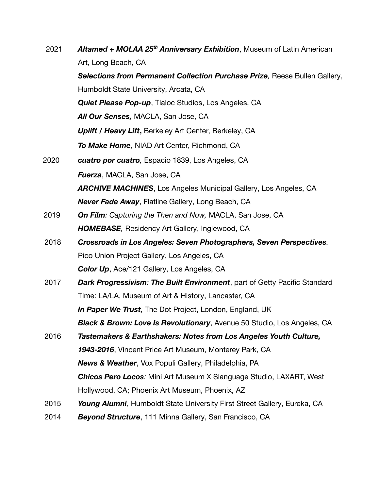| 2021 | Altamed + MOLAA 25 <sup>th</sup> Anniversary Exhibition, Museum of Latin American  |
|------|------------------------------------------------------------------------------------|
|      | Art, Long Beach, CA                                                                |
|      | Selections from Permanent Collection Purchase Prize, Reese Bullen Gallery,         |
|      | Humboldt State University, Arcata, CA                                              |
|      | <b>Quiet Please Pop-up, Tlaloc Studios, Los Angeles, CA</b>                        |
|      | All Our Senses, MACLA, San Jose, CA                                                |
|      | <b>Uplift / Heavy Lift, Berkeley Art Center, Berkeley, CA</b>                      |
|      | To Make Home, NIAD Art Center, Richmond, CA                                        |
| 2020 | cuatro por cuatro, Espacio 1839, Los Angeles, CA                                   |
|      | <b>Fuerza, MACLA, San Jose, CA</b>                                                 |
|      | <b>ARCHIVE MACHINES, Los Angeles Municipal Gallery, Los Angeles, CA</b>            |
|      | <b>Never Fade Away, Flatline Gallery, Long Beach, CA</b>                           |
| 2019 | <b>On Film:</b> Capturing the Then and Now, MACLA, San Jose, CA                    |
|      | <b>HOMEBASE, Residency Art Gallery, Inglewood, CA</b>                              |
| 2018 | Crossroads in Los Angeles: Seven Photographers, Seven Perspectives.                |
|      | Pico Union Project Gallery, Los Angeles, CA                                        |
|      | <b>Color Up, Ace/121 Gallery, Los Angeles, CA</b>                                  |
| 2017 | <b>Dark Progressivism: The Built Environment</b> , part of Getty Pacific Standard  |
|      | Time: LA/LA, Museum of Art & History, Lancaster, CA                                |
|      | In Paper We Trust, The Dot Project, London, England, UK                            |
|      | <b>Black &amp; Brown: Love Is Revolutionary, Avenue 50 Studio, Los Angeles, CA</b> |
| 2016 | Tastemakers & Earthshakers: Notes from Los Angeles Youth Culture,                  |
|      | 1943-2016, Vincent Price Art Museum, Monterey Park, CA                             |
|      | <b>News &amp; Weather, Vox Populi Gallery, Philadelphia, PA</b>                    |
|      | <b>Chicos Pero Locos:</b> Mini Art Museum X Slanguage Studio, LAXART, West         |
|      | Hollywood, CA; Phoenix Art Museum, Phoenix, AZ                                     |
| 2015 | Young Alumni, Humboldt State University First Street Gallery, Eureka, CA           |
| 2014 | <b>Beyond Structure</b> , 111 Minna Gallery, San Francisco, CA                     |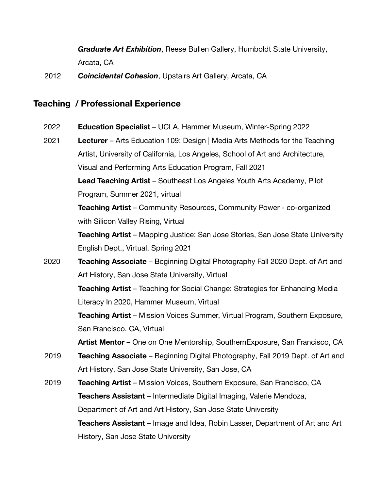*Graduate Art Exhibition*, Reese Bullen Gallery, Humboldt State University, Arcata, CA

2012 *Coincidental Cohesion*, Upstairs Art Gallery, Arcata, CA

#### **Teaching / Professional Experience**

2022 **Education Specialist** – UCLA, Hammer Museum, Winter-Spring 2022

2021 **Lecturer** – Arts Education 109: Design | Media Arts Methods for the Teaching Artist, University of California, Los Angeles, School of Art and Architecture, Visual and Performing Arts Education Program, Fall 2021 **Lead Teaching Artist** – Southeast Los Angeles Youth Arts Academy, Pilot Program, Summer 2021, virtual **Teaching Artist** – Community Resources, Community Power - co-organized with Silicon Valley Rising, Virtual **Teaching Artist** – Mapping Justice: San Jose Stories, San Jose State University English Dept., Virtual, Spring 2021 2020 **Teaching Associate** – Beginning Digital Photography Fall 2020 Dept. of Art and Art History, San Jose State University, Virtual **Teaching Artist** – Teaching for Social Change: Strategies for Enhancing Media Literacy In 2020, Hammer Museum, Virtual **Teaching Artist** – Mission Voices Summer, Virtual Program, Southern Exposure, San Francisco. CA, Virtual **Artist Mentor** – One on One Mentorship, SouthernExposure, San Francisco, CA 2019 **Teaching Associate** – Beginning Digital Photography, Fall 2019 Dept. of Art and Art History, San Jose State University, San Jose, CA

2019 **Teaching Artist** – Mission Voices, Southern Exposure, San Francisco, CA **Teachers Assistant** – Intermediate Digital Imaging, Valerie Mendoza, Department of Art and Art History, San Jose State University **Teachers Assistant** – Image and Idea, Robin Lasser, Department of Art and Art History, San Jose State University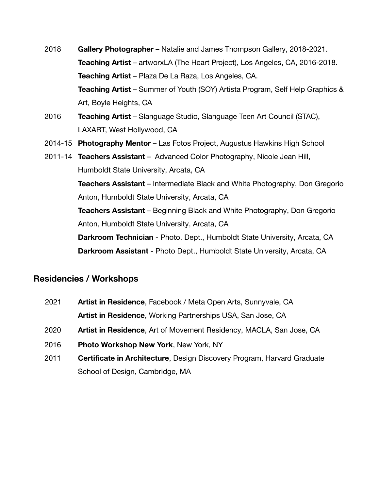- 2018 **Gallery Photographer** Natalie and James Thompson Gallery, 2018-2021. **Teaching Artist** – artworxLA (The Heart Project), Los Angeles, CA, 2016-2018. **Teaching Artist** – Plaza De La Raza, Los Angeles, CA. **Teaching Artist** – Summer of Youth (SOY) Artista Program, Self Help Graphics & Art, Boyle Heights, CA
- 2016 **Teaching Artist** Slanguage Studio, Slanguage Teen Art Council (STAC), LAXART, West Hollywood, CA
- 2014-15 **Photography Mentor** Las Fotos Project, Augustus Hawkins High School
- 2011-14 **Teachers Assistant** Advanced Color Photography, Nicole Jean Hill, Humboldt State University, Arcata, CA **Teachers Assistant** – Intermediate Black and White Photography, Don Gregorio Anton, Humboldt State University, Arcata, CA **Teachers Assistant** – Beginning Black and White Photography, Don Gregorio Anton, Humboldt State University, Arcata, CA **Darkroom Technician** - Photo. Dept., Humboldt State University, Arcata, CA **Darkroom Assistant** - Photo Dept., Humboldt State University, Arcata, CA

## **Residencies / Workshops**

- 2021 **Artist in Residence**, Facebook / Meta Open Arts, Sunnyvale, CA **Artist in Residence**, Working Partnerships USA, San Jose, CA
- 2020 **Artist in Residence**, Art of Movement Residency, MACLA, San Jose, CA
- 2016 **Photo Workshop New York**, New York, NY
- 2011 **Certificate in Architecture**, Design Discovery Program, Harvard Graduate School of Design, Cambridge, MA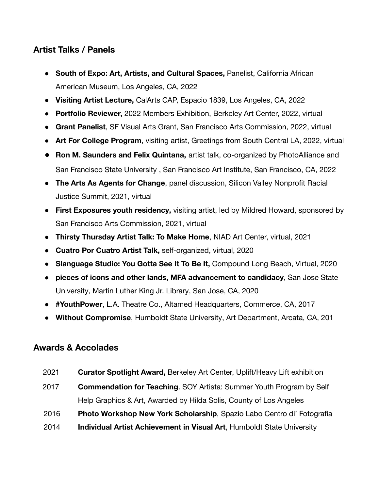# **Artist Talks / Panels**

- **● South of Expo: Art, Artists, and Cultural Spaces,** Panelist, California African American Museum, Los Angeles, CA, 2022
- **● Visiting Artist Lecture,** CalArts CAP, Espacio 1839, Los Angeles, CA, 2022
- **● Portfolio Reviewer,** 2022 Members Exhibition, Berkeley Art Center, 2022, virtual
- **● Grant Panelist**, SF Visual Arts Grant, San Francisco Arts Commission, 2022, virtual
- **● Art For College Program**, visiting artist, Greetings from South Central LA, 2022, virtual
- **● Ron M. Saunders and Felix Quintana,** artist talk, co-organized by PhotoAlliance and San Francisco State University , San Francisco Art Institute, San Francisco, CA, 2022
- **● The Arts As Agents for Change**, panel discussion, Silicon Valley Nonprofit Racial Justice Summit, 2021, virtual
- **● First Exposures youth residency,** visiting artist, led by Mildred Howard, sponsored by San Francisco Arts Commission, 2021, virtual
- **● Thirsty Thursday Artist Talk: To Make Home**, NIAD Art Center, virtual, 2021
- **● Cuatro Por Cuatro Artist Talk,** self-organized, virtual, 2020
- **● Slanguage Studio: You Gotta See It To Be It,** Compound Long Beach, Virtual, 2020
- **● pieces of icons and other lands, MFA advancement to candidacy**, San Jose State University, Martin Luther King Jr. Library, San Jose, CA, 2020
- **#YouthPower**, L.A. Theatre Co., Altamed Headquarters, Commerce, CA, 2017
- **Without Compromise**, Humboldt State University, Art Department, Arcata, CA, 201

#### **Awards & Accolades**

- 2021 **Curator Spotlight Award,** Berkeley Art Center, Uplift/Heavy Lift exhibition
- 2017 **Commendation for Teaching**. SOY Artista: Summer Youth Program by Self Help Graphics & Art, Awarded by Hilda Solis, County of Los Angeles
- 2016 **Photo Workshop New York Scholarship**, Spazio Labo Centro di' Fotografia
- 2014 **Individual Artist Achievement in Visual Art**, Humboldt State University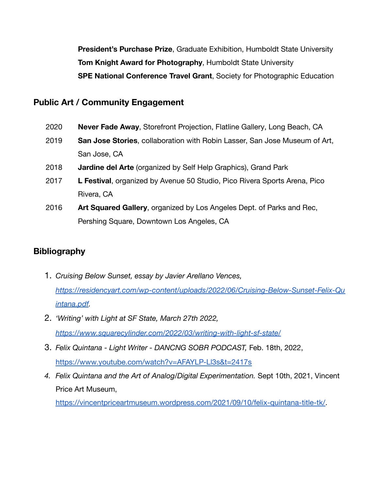**President's Purchase Prize**, Graduate Exhibition, Humboldt State University **Tom Knight Award for Photography**, Humboldt State University **SPE National Conference Travel Grant**, Society for Photographic Education

## **Public Art / Community Engagement**

- 2020 **Never Fade Away**, Storefront Projection, Flatline Gallery, Long Beach, CA
- 2019 **San Jose Stories**, collaboration with Robin Lasser, San Jose Museum of Art, San Jose, CA
- 2018 **Jardine del Arte** (organized by Self Help Graphics), Grand Park
- 2017 **L Festival**, organized by Avenue 50 Studio, Pico Rivera Sports Arena, Pico Rivera, CA
- 2016 **Art Squared Gallery**, organized by Los Angeles Dept. of Parks and Rec, Pershing Square, Downtown Los Angeles, CA

## **Bibliography**

- 1. *Cruising Below Sunset, essay by Javier Arellano Vences, [https://residencyart.com/wp-content/uploads/2022/06/Cruising-Below-Sunset-Felix-Qu](https://residencyart.com/wp-content/uploads/2022/06/Cruising-Below-Sunset-Felix-Quintana.pdf) [intana.pdf](https://residencyart.com/wp-content/uploads/2022/06/Cruising-Below-Sunset-Felix-Quintana.pdf).*
- 2. *'Writing' with Light at SF State, March 27th 2022, <https://www.squarecylinder.com/2022/03/writing-with-light-sf-state/>*
- 3. *Felix Quintana Light Writer DANCNG SOBR PODCAST,* Feb. 18th, 2022, <https://www.youtube.com/watch?v=AFAYLP-Ll3s&t=2417s>
- *4. Felix Quintana and the Art of Analog/Digital Experimentation.* Sept 10th, 2021, Vincent Price Art Museum,

[https://vincentpriceartmuseum.wordpress.com/2021/09/10/felix-quintana-title-tk/.](https://vincentpriceartmuseum.wordpress.com/2021/09/10/felix-quintana-title-tk/)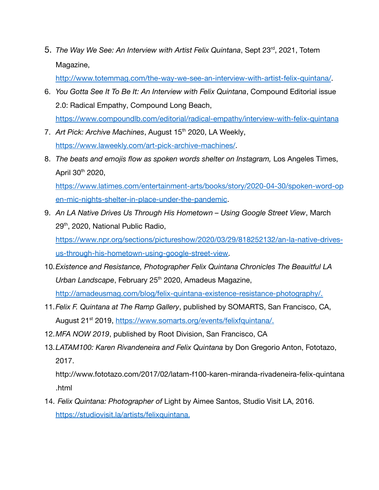5. The Way We See: An Interview with Artist Felix Quintana, Sept 23<sup>rd</sup>, 2021, Totem Magazine,

<http://www.totemmag.com/the-way-we-see-an-interview-with-artist-felix-quintana/>.

- 6. *You Gotta See It To Be It: An Interview with Felix Quintana*, Compound Editorial issue 2.0: Radical Empathy, Compound Long Beach, <https://www.compoundlb.com/editorial/radical-empathy/interview-with-felix-quintana>
- 7. Art Pick: Archive Machines, August 15<sup>th</sup> 2020, LA Weekly, <https://www.laweekly.com/art-pick-archive-machines/>.
- 8. *The beats and emojis flow as spoken words shelter on Instagram,* Los Angeles Times, April 30th 2020,

[https://www.latimes.com/entertainment-arts/books/story/2020-04-30/spoken-word-op](https://www.latimes.com/entertainment-arts/books/story/2020-04-30/spoken-word-open-mic-nights-shelter-in-place-under-the-pandemic) [en-mic-nights-shelter-in-place-under-the-pandemic](https://www.latimes.com/entertainment-arts/books/story/2020-04-30/spoken-word-open-mic-nights-shelter-in-place-under-the-pandemic).

9. *An LA Native Drives Us Through His Hometown – Using Google Street View*, March 29<sup>th</sup>, 2020, National Public Radio,

[https://www.npr.org/sections/pictureshow/2020/03/29/818252132/an-la-native-drives](https://www.npr.org/sections/pictureshow/2020/03/29/818252132/an-la-native-drives-us-through-his-hometown-using-google-street-view)[us-through-his-hometown-using-google-street-view.](https://www.npr.org/sections/pictureshow/2020/03/29/818252132/an-la-native-drives-us-through-his-hometown-using-google-street-view)

10.*Existence and Resistance, Photographer Felix Quintana Chronicles The Beauitful LA* Urban Landscape, February 25<sup>th</sup> 2020, Amadeus Magazine,

<http://amadeusmag.com/blog/felix-quintana-existence-resistance-photography/>.

- 11.*Felix F. Quintana at The Ramp Gallery*, published by SOMARTS, San Francisco, CA, August 21<sup>st</sup> 2019, [https://www.somarts.org/events/felixfquintana/.](https://www.somarts.org/events/felixfquintana/)
- 12.*MFA NOW 2019*, published by Root Division, San Francisco, CA
- 13.*LATAM100: Karen Rivandeneira and Felix Quintana* by Don Gregorio Anton, Fototazo, 2017.

http://www.fototazo.com/2017/02/latam-f100-karen-miranda-rivadeneira-felix-quintana .html

14. *Felix Quintana: Photographer of* Light by Aimee Santos, Studio Visit LA, 2016. <https://studiovisit.la/artists/felixquintana>.